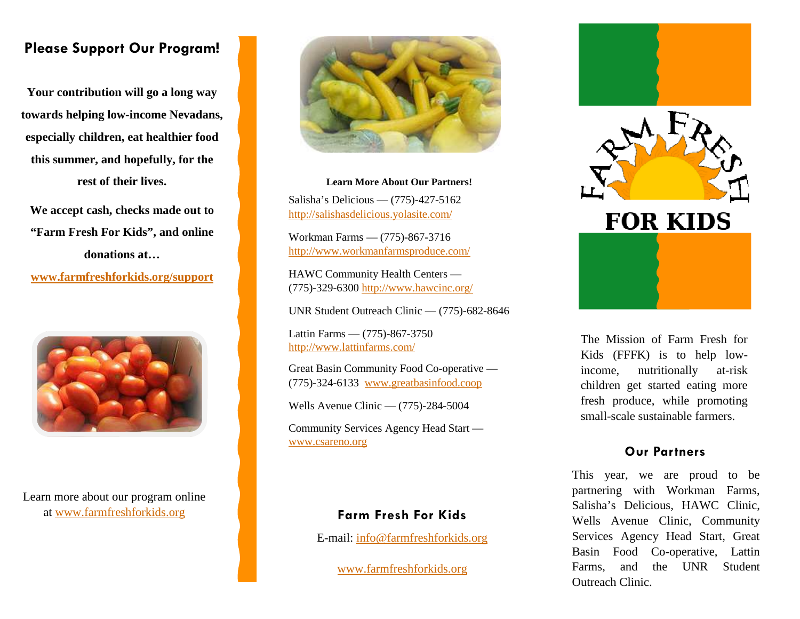## **Please Support Our Program!**

**Your contribution will go a long way towards helping low-income Nevadans, especially children, eat healthier food this summer, and hopefully, for the rest of their lives.** 

**We accept cash, checks made out to "Farm Fresh For Kids", and online donations at…** 

**www.farmfreshforkids.org/support**



Learn more about our program online at www.farmfreshforkids.org



**Learn More About Our Partners!** Salisha's Delicious — (775)-427-5162 http://salishasdelicious.yolasite.com/

Workman Farms — (775)-867-3716 http://www.workmanfarmsproduce.com/

HAWC Community Health Centers — (775)-329-6300 http://www.hawcinc.org/

UNR Student Outreach Clinic — (775)-682-8646

Lattin Farms — (775)-867-3750 http://www.lattinfarms.com/

Great Basin Community Food Co-operative — (775)-324-6133 www.greatbasinfood.coop

Wells Avenue Clinic — (775)-284-5004

Community Services Agency Head Start www.csareno.org

#### **Farm Fresh For Kids**

E-mail: info@farmfreshforkids.org

www.farmfreshforkids.org



The Mission of Farm Fresh for Kids (FFFK) is to help lowincome, nutritionally at-risk children get started eating more fresh produce, while promoting small-scale sustainable farmers.

#### **Our Partners**

This year, we are proud to be partnering with Workman Farms, Salisha's Delicious, HAWC Clinic, Wells Avenue Clinic, Community Services Agency Head Start, Great Basin Food Co-operative, Lattin Farms, and the UNR Student Outreach Clinic.